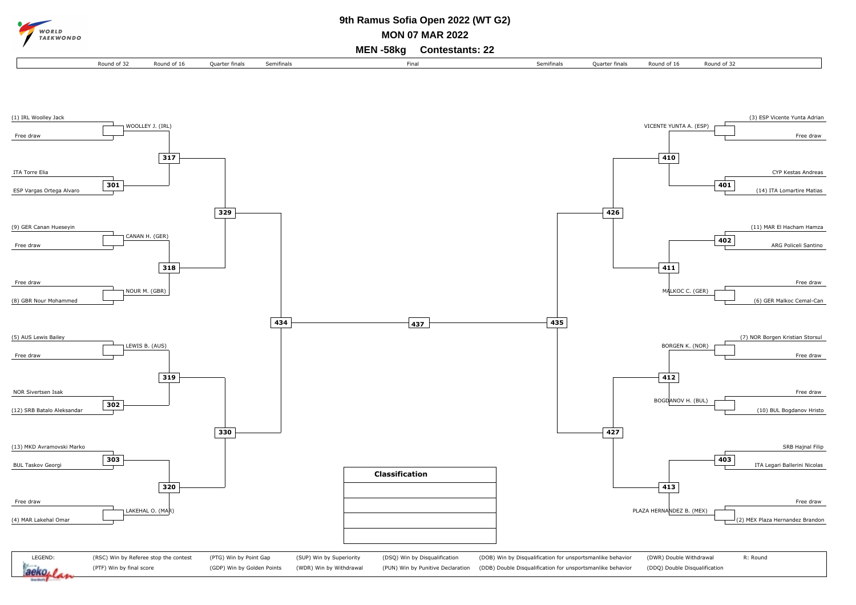

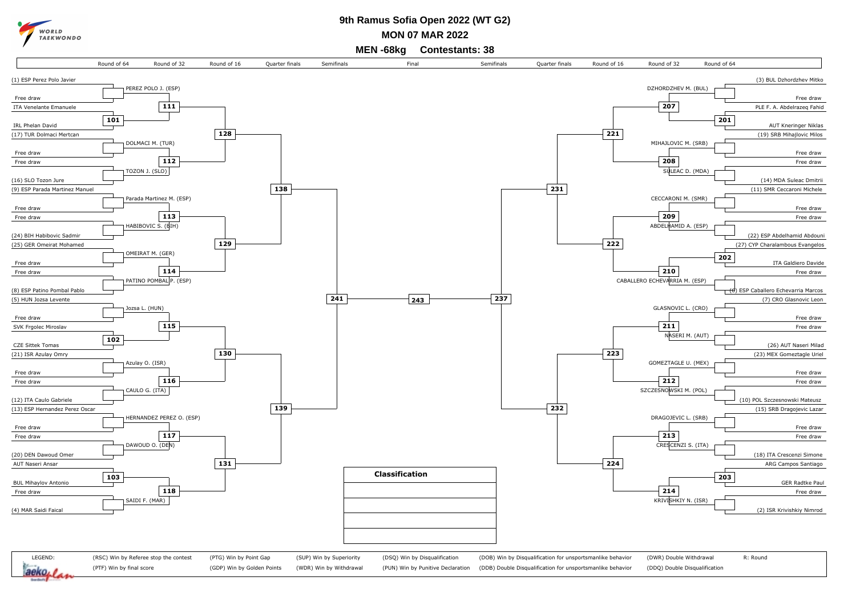

## **9th Ramus Sofia Open 2022 (WT G2)**

**MON 07 MAR 2022**

**MEN -68kg Contestants: 38**

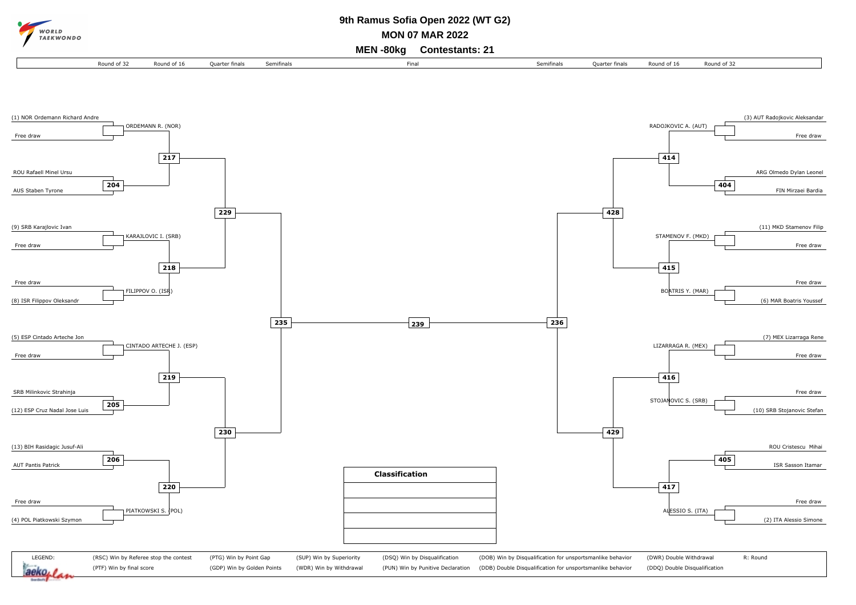

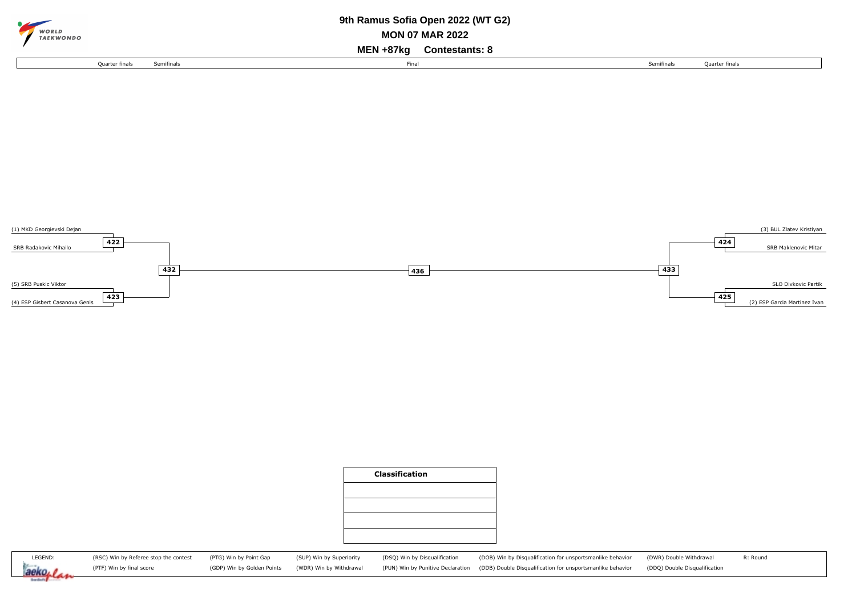| $\sim$                                              |                       |            | 9th Ramus Sofia Open 2022 (WT G2) |            |                |  |  |  |  |  |
|-----------------------------------------------------|-----------------------|------------|-----------------------------------|------------|----------------|--|--|--|--|--|
| WORLD<br><b>MON 07 MAR 2022</b><br><b>TAEKWONDO</b> |                       |            |                                   |            |                |  |  |  |  |  |
| MEN +87ka<br><b>Contestants: 8</b>                  |                       |            |                                   |            |                |  |  |  |  |  |
|                                                     | <b>Ouarter finals</b> | Semifinals | Final                             | Semifinals | Quarter finals |  |  |  |  |  |







(RSC) Win by Referee stop the contest (PTF) Win by final score

(PTG) Win by Point Gap (GDP) Win by Golden Points (SUP) Win by Superiority (WDR) Win by Withdrawal

(DSQ) Win by Disqualification (PUN) Win by Punitive Declaration (DOB) Win by Disqualification for unsportsmanlike behavior (DDB) Double Disqualification for unsportsmanlike behavior

(DWR) Double Withdrawal (DDQ) Double Disqualification

R: Round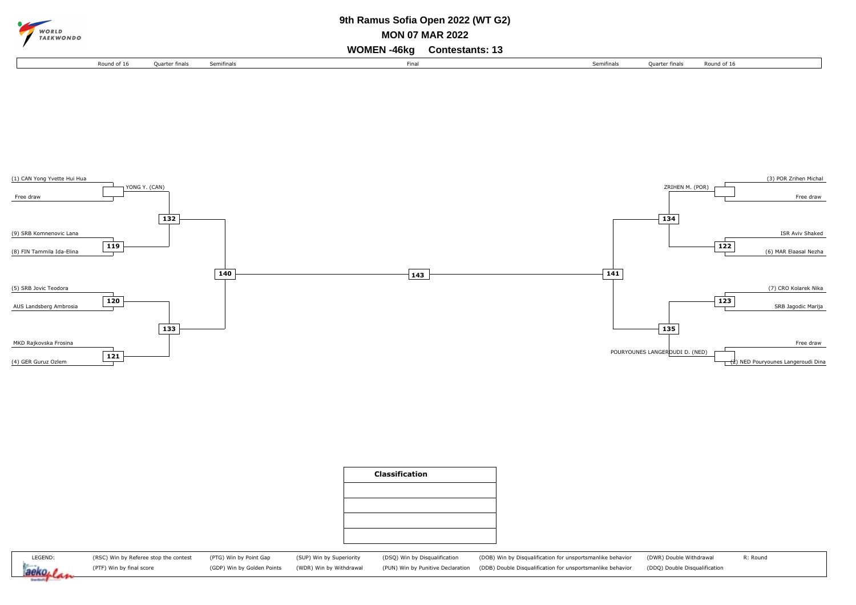| $\sim$ |                           | 9th Ramus Sofia Open 2022 (WT G2) |                |            |      |                                   |  |            |                |             |  |
|--------|---------------------------|-----------------------------------|----------------|------------|------|-----------------------------------|--|------------|----------------|-------------|--|
|        | WORLD<br><b>TAEKWONDO</b> | <b>MON 07 MAR 2022</b>            |                |            |      |                                   |  |            |                |             |  |
|        |                           |                                   |                |            |      | <b>WOMEN-46kg Contestants: 13</b> |  |            |                |             |  |
|        |                           | Round of 16                       | Ouarter finals | Semifinals | Fina |                                   |  | Semifinals | Quarter finals | Round of 16 |  |







(DSQ) Win by Disqualification (PUN) Win by Punitive Declaration (DOB) Win by Disqualification for unsportsmanlike behavior (DDB) Double Disqualification for unsportsmanlike behavior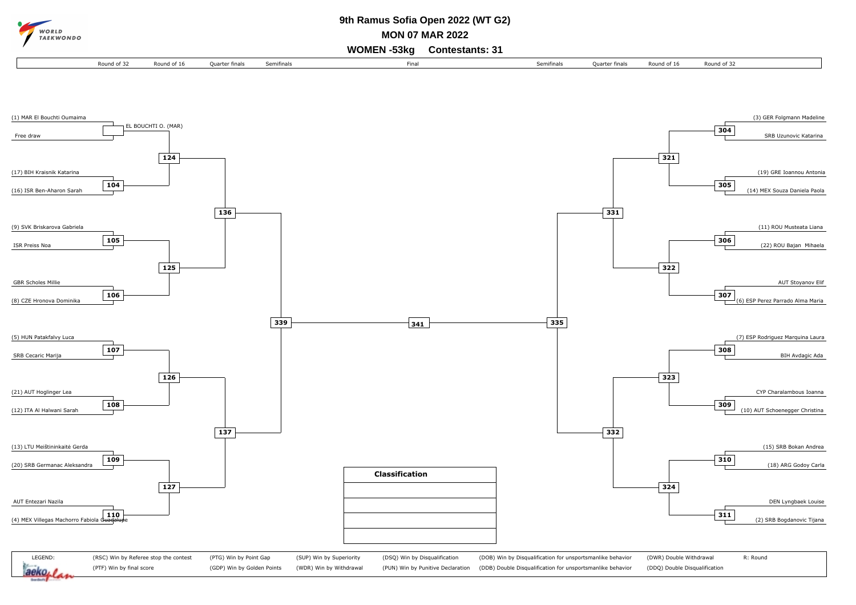

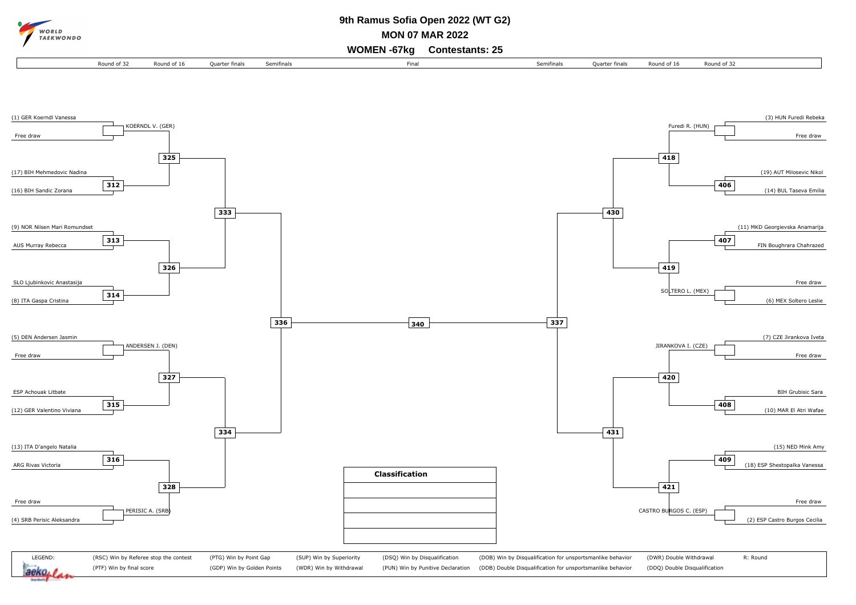